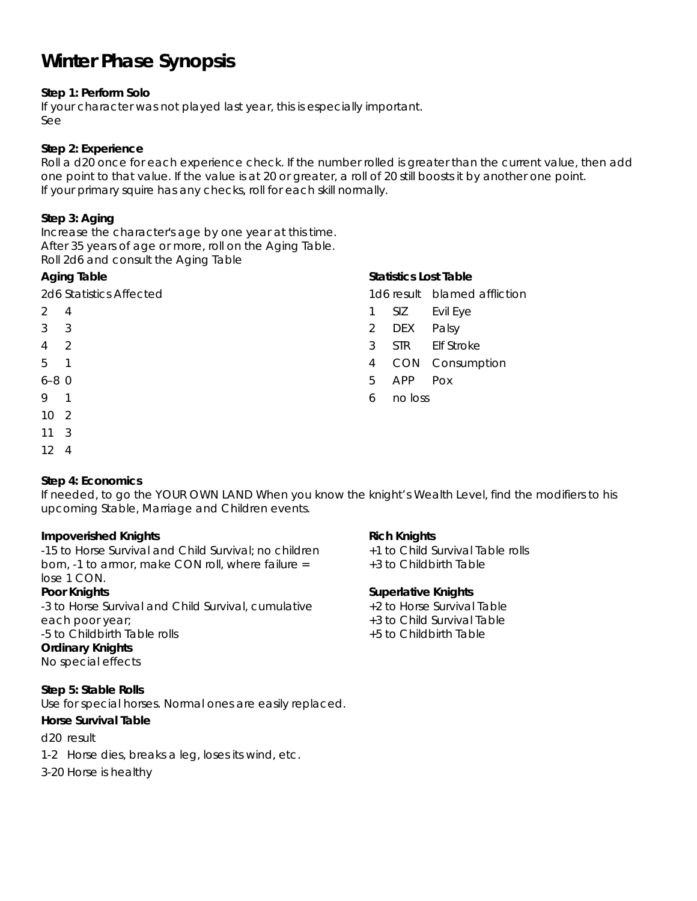# **Winter Phase Synopsis**

# **Step 1: Perform Solo**

If your character was not played last year, this is especially important. See

### **Step 2: Experience**

Roll a d20 once for each experience check. If the number rolled is greater than the current value, then add one point to that value. If the value is at 20 or greater, a roll of 20 still boosts it by another one point. If your primary squire has any checks, roll for each skill normally.

## **Step 3: Aging**

Increase the character's age by one year at this time. After 35 years of age or more, roll on the Aging Table. Roll 2d6 and consult the Aging Table

### **Aging Table**

2d6 Statistics Affected

- 2 4
- 3 3
- 4 2
- 5 1
- 6–8 0
- 9 1
- 10 2
- 11 3
- 12 4

# **Step 4: Economics**

If needed, to go the YOUR OWN LAND When you know the knight's Wealth Level, find the modifiers to his upcoming Stable, Marriage and Children events.

# **Impoverished Knights**

-15 to Horse Survival and Child Survival; no children born, -1 to armor, make CON roll, where failure = lose 1 CON.

#### **Poor Knights**

-3 to Horse Survival and Child Survival, cumulative each poor year; -5 to Childbirth Table rolls **Ordinary Knights** 

No special effects

# **Step 5: Stable Rolls**

Use for special horses. Normal ones are easily replaced.

#### **Horse Survival Table**

d20 result

- 1-2 Horse dies, breaks a leg, loses its wind, etc.
- 3-20 Horse is healthy

# **Statistics Lost Table**

1d6 result blamed affliction

- 1 SIZ Evil Eye
- 2 DEX Palsy
- 3 STR Elf Stroke
- 4 CON Consumption
- 5 APP Pox
- 6 no loss

#### **Rich Knights**

+1 to Child Survival Table rolls

+3 to Childbirth Table

#### **Superlative Knights**

- +2 to Horse Survival Table
- +3 to Child Survival Table
- +5 to Childbirth Table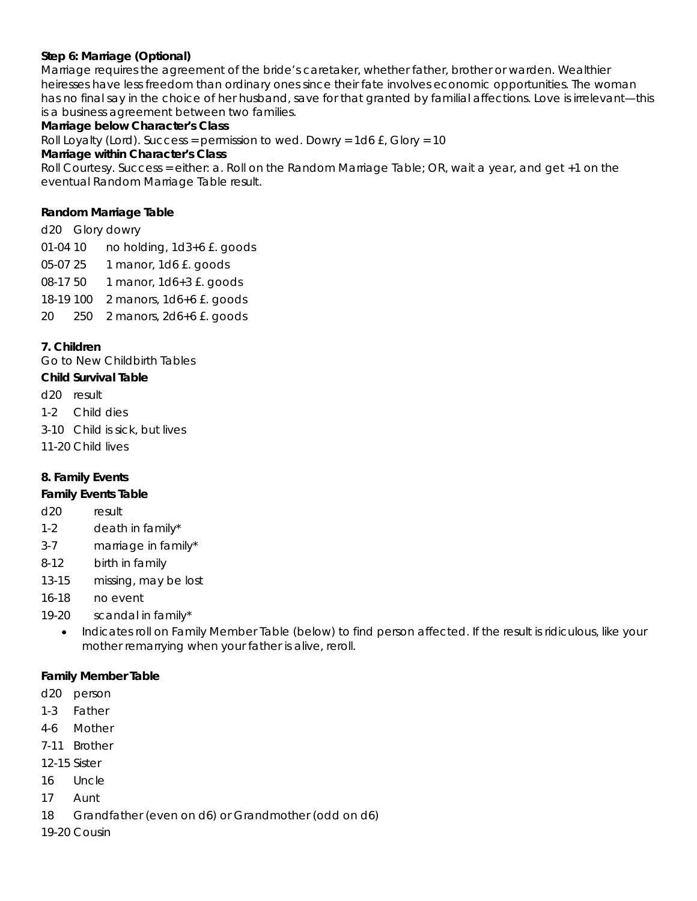## **Step 6: Marriage (Optional)**

Marriage requires the agreement of the bride's caretaker, whether father, brother or warden. Wealthier heiresses have less freedom than ordinary ones since their fate involves economic opportunities. The woman has no final say in the choice of her husband, save for that granted by familial affections. Love is irrelevant—this is a business agreement between two families.

### **Marriage below Character's Class**

Roll Loyalty (Lord). Success = permission to wed. Dowry =  $1d6 f$ , Glory =  $10$ 

#### **Marriage within Character's Class**

Roll Courtesy. Success = either: a. Roll on the Random Marriage Table; OR, wait a year, and get +1 on the eventual Random Marriage Table result.

#### **Random Marriage Table**

d20 Glory dowry 01-04 10 no holding, 1d3+6 £. goods 05-07 25 1 manor, 1d6 £. goods 08-17 50 1 manor, 1d6+3 £. goods 18-19 100 2 manors, 1d6+6 £. goods 20 250 2 manors, 2d6+6 £. goods

### **7. Children**

Go to New Childbirth Tables

# **Child Survival Table**

- d20 result
- 1-2 Child dies
- 3-10 Child is sick, but lives
- 11-20 Child lives

# **8. Family Events**

#### **Family Events Table**

- d20 result
- 1-2 death in family\*
- 3-7 marriage in family\*
- 8-12 birth in family
- 13-15 missing, may be lost
- 16-18 no event
- 19-20 scandal in family\*
	- Indicates roll on Family Member Table (below) to find person affected. If the result is ridiculous, like your mother remarrying when your father is alive, reroll.

#### **Family Member Table**

- d20 person
- 1-3 Father
- 4-6 Mother
- 7-11 Brother
- 12-15 Sister
- 16 Uncle
- 17 Aunt
- 18 Grandfather (even on d6) or Grandmother (odd on d6)
- 19-20 Cousin